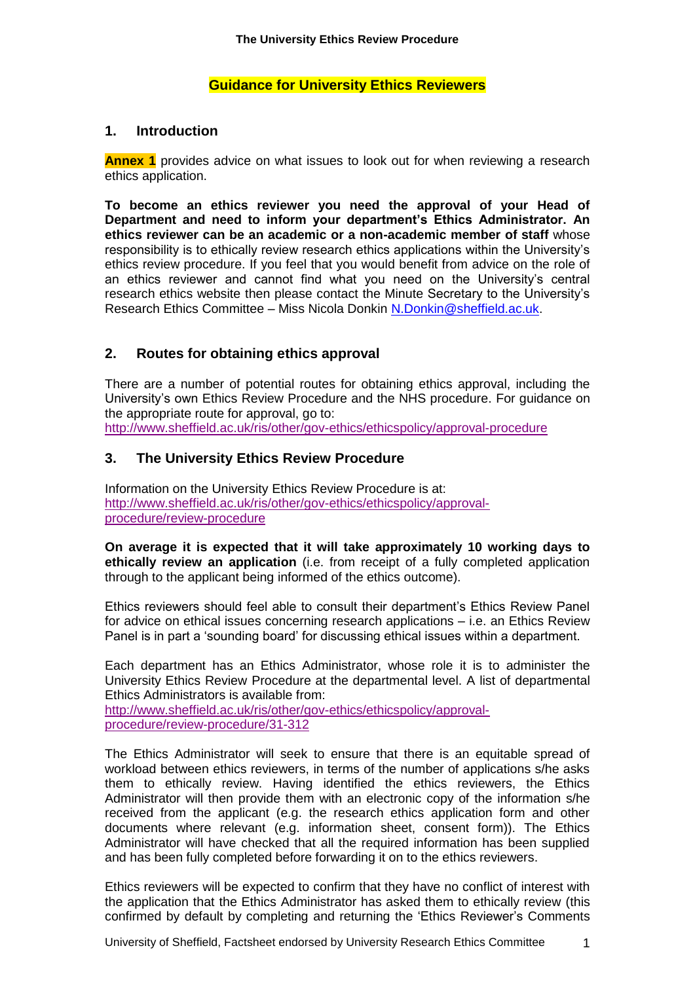# **Guidance for University Ethics Reviewers**

### **1. Introduction**

**Annex 1** provides advice on what issues to look out for when reviewing a research ethics application.

**To become an ethics reviewer you need the approval of your Head of Department and need to inform your department's Ethics Administrator. An ethics reviewer can be an academic or a non-academic member of staff** whose responsibility is to ethically review research ethics applications within the University's ethics review procedure. If you feel that you would benefit from advice on the role of an ethics reviewer and cannot find what you need on the University's central research ethics website then please contact the Minute Secretary to the University's Research Ethics Committee – Miss Nicola Donkin [N.Donkin@sheffield.ac.uk.](mailto:N.Donkin@sheffield.ac.uk)

# **2. Routes for obtaining ethics approval**

There are a number of potential routes for obtaining ethics approval, including the University's own Ethics Review Procedure and the NHS procedure. For guidance on the appropriate route for approval, go to: <http://www.sheffield.ac.uk/ris/other/gov-ethics/ethicspolicy/approval-procedure>

# **3. The University Ethics Review Procedure**

Information on the University Ethics Review Procedure is at: [http://www.sheffield.ac.uk/ris/other/gov-ethics/ethicspolicy/approval](http://www.sheffield.ac.uk/ris/other/gov-ethics/ethicspolicy/approval-procedure/review-procedure)[procedure/review-procedure](http://www.sheffield.ac.uk/ris/other/gov-ethics/ethicspolicy/approval-procedure/review-procedure)

**On average it is expected that it will take approximately 10 working days to ethically review an application** (i.e. from receipt of a fully completed application through to the applicant being informed of the ethics outcome).

Ethics reviewers should feel able to consult their department's Ethics Review Panel for advice on ethical issues concerning research applications – i.e. an Ethics Review Panel is in part a 'sounding board' for discussing ethical issues within a department.

Each department has an Ethics Administrator, whose role it is to administer the University Ethics Review Procedure at the departmental level. A list of departmental Ethics Administrators is available from:

[http://www.sheffield.ac.uk/ris/other/gov-ethics/ethicspolicy/approval](http://www.sheffield.ac.uk/ris/other/gov-ethics/ethicspolicy/approval-procedure/review-procedure/31-312)[procedure/review-procedure/31-312](http://www.sheffield.ac.uk/ris/other/gov-ethics/ethicspolicy/approval-procedure/review-procedure/31-312)

The Ethics Administrator will seek to ensure that there is an equitable spread of workload between ethics reviewers, in terms of the number of applications s/he asks them to ethically review. Having identified the ethics reviewers, the Ethics Administrator will then provide them with an electronic copy of the information s/he received from the applicant (e.g. the research ethics application form and other documents where relevant (e.g. information sheet, consent form)). The Ethics Administrator will have checked that all the required information has been supplied and has been fully completed before forwarding it on to the ethics reviewers.

Ethics reviewers will be expected to confirm that they have no conflict of interest with the application that the Ethics Administrator has asked them to ethically review (this confirmed by default by completing and returning the 'Ethics Reviewer's Comments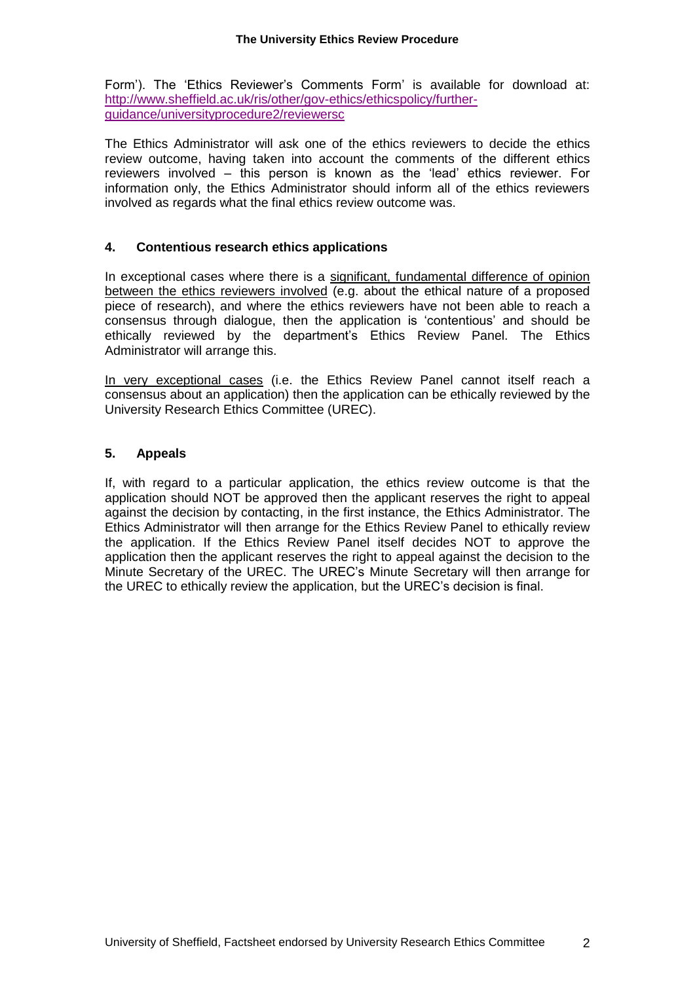Form'). The 'Ethics Reviewer's Comments Form' is available for download at: [http://www.sheffield.ac.uk/ris/other/gov-ethics/ethicspolicy/further](http://www.sheffield.ac.uk/ris/other/gov-ethics/ethicspolicy/further-guidance/universityprocedure2/reviewersc)[guidance/universityprocedure2/reviewersc](http://www.sheffield.ac.uk/ris/other/gov-ethics/ethicspolicy/further-guidance/universityprocedure2/reviewersc)

The Ethics Administrator will ask one of the ethics reviewers to decide the ethics review outcome, having taken into account the comments of the different ethics reviewers involved – this person is known as the 'lead' ethics reviewer. For information only, the Ethics Administrator should inform all of the ethics reviewers involved as regards what the final ethics review outcome was.

### **4. Contentious research ethics applications**

In exceptional cases where there is a significant, fundamental difference of opinion between the ethics reviewers involved (e.g. about the ethical nature of a proposed piece of research), and where the ethics reviewers have not been able to reach a consensus through dialogue, then the application is 'contentious' and should be ethically reviewed by the department's Ethics Review Panel. The Ethics Administrator will arrange this.

In very exceptional cases (i.e. the Ethics Review Panel cannot itself reach a consensus about an application) then the application can be ethically reviewed by the University Research Ethics Committee (UREC).

### **5. Appeals**

If, with regard to a particular application, the ethics review outcome is that the application should NOT be approved then the applicant reserves the right to appeal against the decision by contacting, in the first instance, the Ethics Administrator. The Ethics Administrator will then arrange for the Ethics Review Panel to ethically review the application. If the Ethics Review Panel itself decides NOT to approve the application then the applicant reserves the right to appeal against the decision to the Minute Secretary of the UREC. The UREC's Minute Secretary will then arrange for the UREC to ethically review the application, but the UREC's decision is final.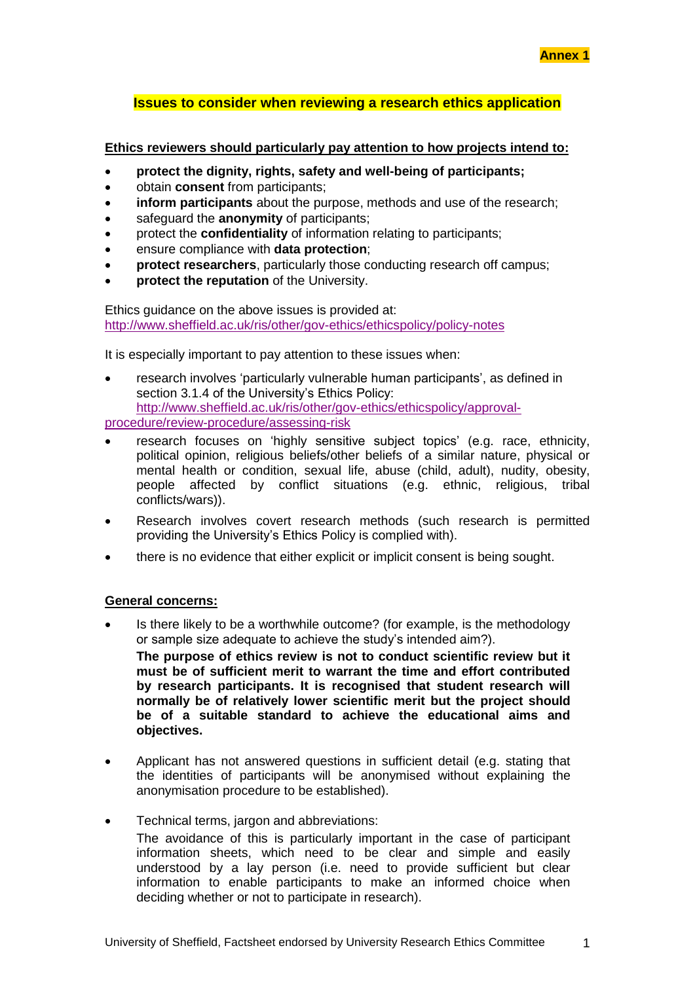# **Issues to consider when reviewing a research ethics application**

### **Ethics reviewers should particularly pay attention to how projects intend to:**

- **protect the dignity, rights, safety and well-being of participants;**
- obtain **consent** from participants;
- **inform participants** about the purpose, methods and use of the research;
- safeguard the **anonymity** of participants;
- protect the **confidentiality** of information relating to participants;
- ensure compliance with **data protection**;
- **protect researchers**, particularly those conducting research off campus;
- **protect the reputation** of the University.

Ethics guidance on the above issues is provided at: <http://www.sheffield.ac.uk/ris/other/gov-ethics/ethicspolicy/policy-notes>

It is especially important to pay attention to these issues when:

 research involves 'particularly vulnerable human participants', as defined in section 3.1.4 of the University's Ethics Policy: [http://www.sheffield.ac.uk/ris/other/gov-ethics/ethicspolicy/approval-](http://www.sheffield.ac.uk/ris/other/gov-ethics/ethicspolicy/approval-procedure/review-procedure/assessing-risk)

[procedure/review-procedure/assessing-risk](http://www.sheffield.ac.uk/ris/other/gov-ethics/ethicspolicy/approval-procedure/review-procedure/assessing-risk)

- research focuses on 'highly sensitive subject topics' (e.g. race, ethnicity, political opinion, religious beliefs/other beliefs of a similar nature, physical or mental health or condition, sexual life, abuse (child, adult), nudity, obesity, people affected by conflict situations (e.g. ethnic, religious, tribal conflicts/wars)).
- Research involves covert research methods (such research is permitted providing the University's Ethics Policy is complied with).
- there is no evidence that either explicit or implicit consent is being sought.

#### **General concerns:**

- Is there likely to be a worthwhile outcome? (for example, is the methodology or sample size adequate to achieve the study's intended aim?). **The purpose of ethics review is not to conduct scientific review but it must be of sufficient merit to warrant the time and effort contributed by research participants. It is recognised that student research will normally be of relatively lower scientific merit but the project should be of a suitable standard to achieve the educational aims and objectives.**
- Applicant has not answered questions in sufficient detail (e.g. stating that the identities of participants will be anonymised without explaining the anonymisation procedure to be established).
- Technical terms, jargon and abbreviations: The avoidance of this is particularly important in the case of participant information sheets, which need to be clear and simple and easily understood by a lay person (i.e. need to provide sufficient but clear information to enable participants to make an informed choice when deciding whether or not to participate in research).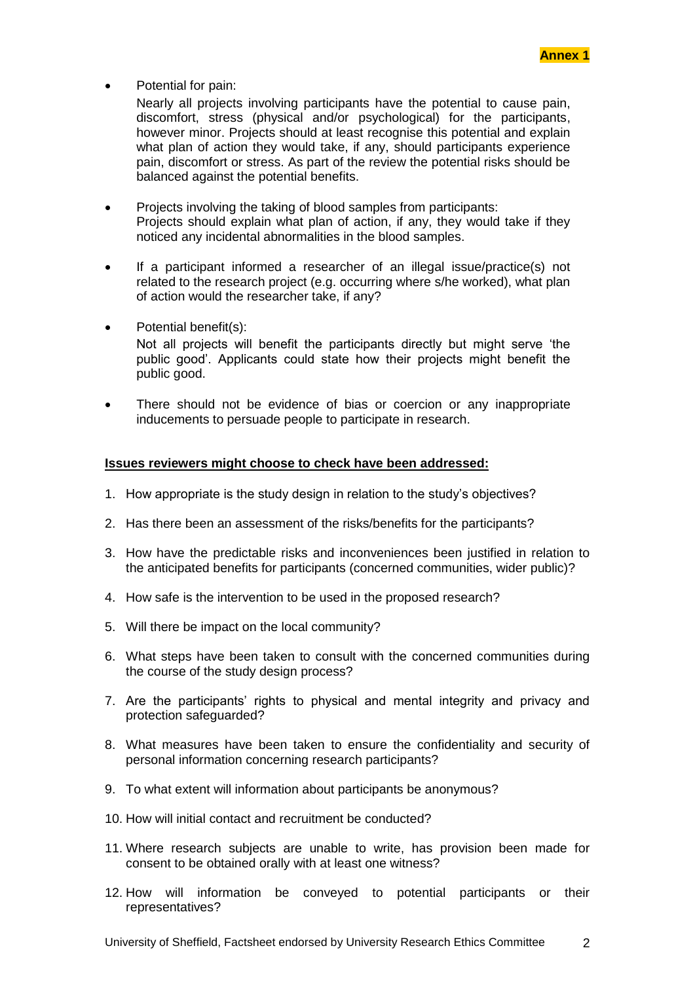Potential for pain:

Nearly all projects involving participants have the potential to cause pain, discomfort, stress (physical and/or psychological) for the participants, however minor. Projects should at least recognise this potential and explain what plan of action they would take, if any, should participants experience pain, discomfort or stress. As part of the review the potential risks should be balanced against the potential benefits.

- Projects involving the taking of blood samples from participants: Projects should explain what plan of action, if any, they would take if they noticed any incidental abnormalities in the blood samples.
- If a participant informed a researcher of an illegal issue/practice(s) not related to the research project (e.g. occurring where s/he worked), what plan of action would the researcher take, if any?
- Potential benefit(s): Not all projects will benefit the participants directly but might serve 'the public good'. Applicants could state how their projects might benefit the public good.
- There should not be evidence of bias or coercion or any inappropriate inducements to persuade people to participate in research.

### **Issues reviewers might choose to check have been addressed:**

- 1. How appropriate is the study design in relation to the study's objectives?
- 2. Has there been an assessment of the risks/benefits for the participants?
- 3. How have the predictable risks and inconveniences been justified in relation to the anticipated benefits for participants (concerned communities, wider public)?
- 4. How safe is the intervention to be used in the proposed research?
- 5. Will there be impact on the local community?
- 6. What steps have been taken to consult with the concerned communities during the course of the study design process?
- 7. Are the participants' rights to physical and mental integrity and privacy and protection safeguarded?
- 8. What measures have been taken to ensure the confidentiality and security of personal information concerning research participants?
- 9. To what extent will information about participants be anonymous?
- 10. How will initial contact and recruitment be conducted?
- 11. Where research subjects are unable to write, has provision been made for consent to be obtained orally with at least one witness?
- 12. How will information be conveyed to potential participants or their representatives?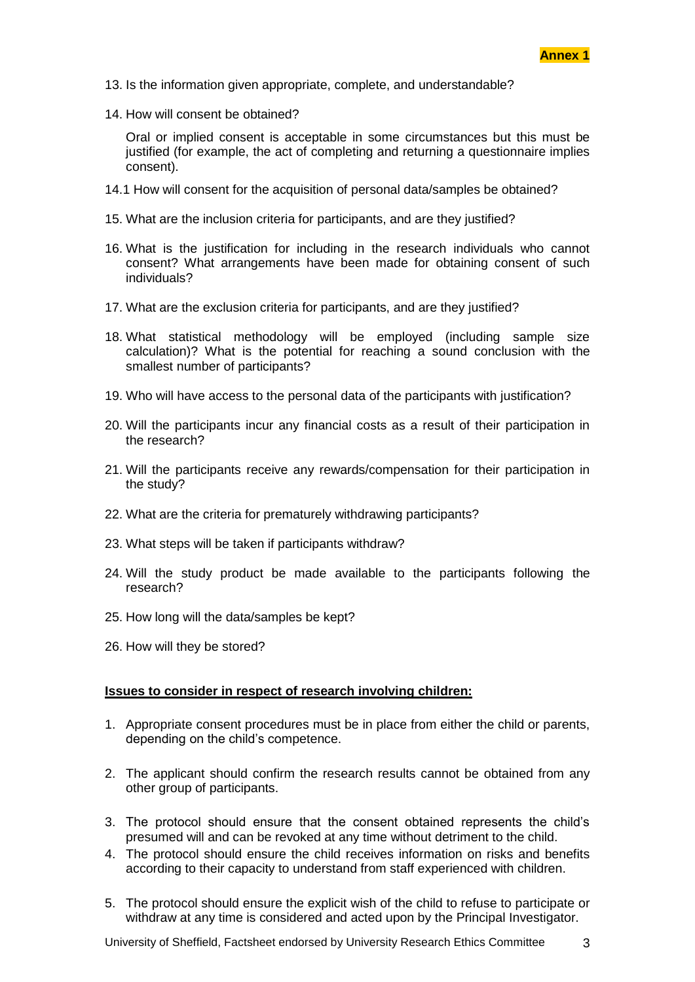

- 13. Is the information given appropriate, complete, and understandable?
- 14. How will consent be obtained?

Oral or implied consent is acceptable in some circumstances but this must be justified (for example, the act of completing and returning a questionnaire implies consent).

- 14.1 How will consent for the acquisition of personal data/samples be obtained?
- 15. What are the inclusion criteria for participants, and are they justified?
- 16. What is the justification for including in the research individuals who cannot consent? What arrangements have been made for obtaining consent of such individuals?
- 17. What are the exclusion criteria for participants, and are they justified?
- 18. What statistical methodology will be employed (including sample size calculation)? What is the potential for reaching a sound conclusion with the smallest number of participants?
- 19. Who will have access to the personal data of the participants with justification?
- 20. Will the participants incur any financial costs as a result of their participation in the research?
- 21. Will the participants receive any rewards/compensation for their participation in the study?
- 22. What are the criteria for prematurely withdrawing participants?
- 23. What steps will be taken if participants withdraw?
- 24. Will the study product be made available to the participants following the research?
- 25. How long will the data/samples be kept?
- 26. How will they be stored?

### **Issues to consider in respect of research involving children:**

- 1. Appropriate consent procedures must be in place from either the child or parents, depending on the child's competence.
- 2. The applicant should confirm the research results cannot be obtained from any other group of participants.
- 3. The protocol should ensure that the consent obtained represents the child's presumed will and can be revoked at any time without detriment to the child.
- 4. The protocol should ensure the child receives information on risks and benefits according to their capacity to understand from staff experienced with children.
- 5. The protocol should ensure the explicit wish of the child to refuse to participate or withdraw at any time is considered and acted upon by the Principal Investigator.